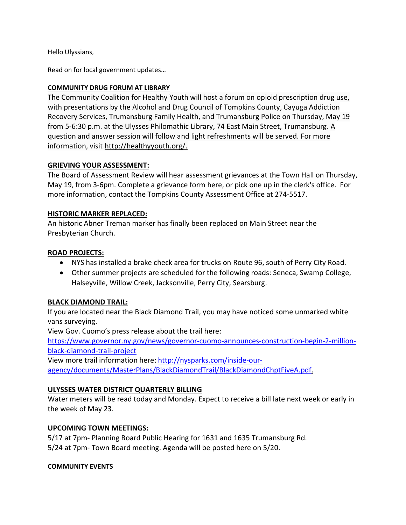Hello Ulyssians,

Read on for local government updates…

### **COMMUNITY DRUG FORUM AT LIBRARY**

The Community Coalition for Healthy Youth will host a forum on opioid prescription drug use, with presentations by the Alcohol and Drug Council of Tompkins County, Cayuga Addiction Recovery Services, Trumansburg Family Health, and Trumansburg Police on Thursday, May 19 from 5-6:30 p.m. at the Ulysses Philomathic Library, 74 East Main Street, Trumansburg. A question and answer session will follow and light refreshments will be served. For more information, visit http://healthyyouth.org/.

#### **GRIEVING YOUR ASSESSMENT:**

The Board of Assessment Review will hear assessment grievances at the Town Hall on Thursday, May 19, from 3-6pm. Complete a grievance form here, or pick one up in the clerk's office. For more information, contact the Tompkins County Assessment Office at 274-5517.

### **HISTORIC MARKER REPLACED:**

An historic Abner Treman marker has finally been replaced on Main Street near the Presbyterian Church.

#### **ROAD PROJECTS:**

- NYS has installed a brake check area for trucks on Route 96, south of Perry City Road.
- Other summer projects are scheduled for the following roads: Seneca, Swamp College, Halseyville, Willow Creek, Jacksonville, Perry City, Searsburg.

#### **BLACK DIAMOND TRAIL:**

If you are located near the Black Diamond Trail, you may have noticed some unmarked white vans surveying.

View Gov. Cuomo's press release about the trail here:

[https://www.governor.ny.gov/news/governor-cuomo-announces-construction-begin-2-million](https://www.governor.ny.gov/news/governor-cuomo-announces-construction-begin-2-million-black-diamond-trail-project)[black-diamond-trail-project](https://www.governor.ny.gov/news/governor-cuomo-announces-construction-begin-2-million-black-diamond-trail-project)

View more trail information here: [http://nysparks.com/inside-our](http://nysparks.com/inside-our-agency/documents/MasterPlans/BlackDiamondTrail/BlackDiamondChptFiveA.pdf)[agency/documents/MasterPlans/BlackDiamondTrail/BlackDiamondChptFiveA.pdf.](http://nysparks.com/inside-our-agency/documents/MasterPlans/BlackDiamondTrail/BlackDiamondChptFiveA.pdf)

# **ULYSSES WATER DISTRICT QUARTERLY BILLING**

Water meters will be read today and Monday. Expect to receive a bill late next week or early in the week of May 23.

# **UPCOMING TOWN MEETINGS:**

5/17 at 7pm- Planning Board Public Hearing for 1631 and 1635 Trumansburg Rd. 5/24 at 7pm- Town Board meeting. Agenda will be posted here on 5/20.

#### **COMMUNITY EVENTS**